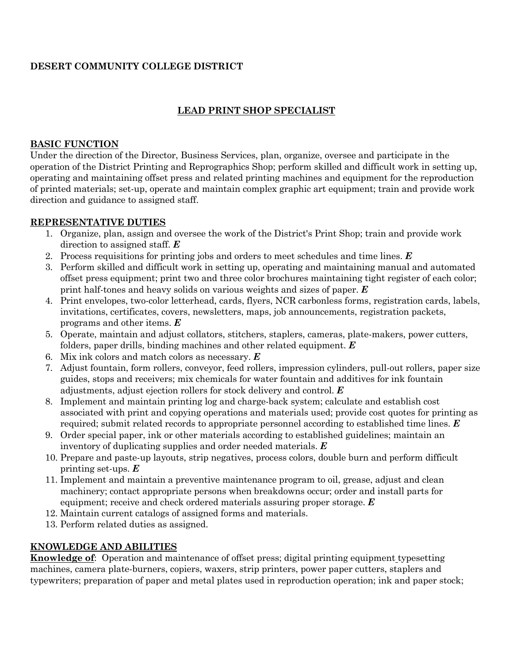# **DESERT COMMUNITY COLLEGE DISTRICT**

## **LEAD PRINT SHOP SPECIALIST**

#### **BASIC FUNCTION**

Under the direction of the Director, Business Services, plan, organize, oversee and participate in the operation of the District Printing and Reprographics Shop; perform skilled and difficult work in setting up, operating and maintaining offset press and related printing machines and equipment for the reproduction of printed materials; set-up, operate and maintain complex graphic art equipment; train and provide work direction and guidance to assigned staff.

#### **REPRESENTATIVE DUTIES**

- 1. Organize, plan, assign and oversee the work of the District's Print Shop; train and provide work direction to assigned staff. *E*
- 2. Process requisitions for printing jobs and orders to meet schedules and time lines. *E*
- 3. Perform skilled and difficult work in setting up, operating and maintaining manual and automated offset press equipment; print two and three color brochures maintaining tight register of each color; print half-tones and heavy solids on various weights and sizes of paper. *E*
- 4. Print envelopes, two-color letterhead, cards, flyers, NCR carbonless forms, registration cards, labels, invitations, certificates, covers, newsletters, maps, job announcements, registration packets, programs and other items. *E*
- 5. Operate, maintain and adjust collators, stitchers, staplers, cameras, plate-makers, power cutters, folders, paper drills, binding machines and other related equipment. *E*
- 6. Mix ink colors and match colors as necessary. *E*
- 7. Adjust fountain, form rollers, conveyor, feed rollers, impression cylinders, pull-out rollers, paper size guides, stops and receivers; mix chemicals for water fountain and additives for ink fountain adjustments, adjust ejection rollers for stock delivery and control. *E*
- 8. Implement and maintain printing log and charge-back system; calculate and establish cost associated with print and copying operations and materials used; provide cost quotes for printing as required; submit related records to appropriate personnel according to established time lines. *E*
- 9. Order special paper, ink or other materials according to established guidelines; maintain an inventory of duplicating supplies and order needed materials. *E*
- 10. Prepare and paste-up layouts, strip negatives, process colors, double burn and perform difficult printing set-ups. *E*
- 11. Implement and maintain a preventive maintenance program to oil, grease, adjust and clean machinery; contact appropriate persons when breakdowns occur; order and install parts for equipment; receive and check ordered materials assuring proper storage. *E*
- 12. Maintain current catalogs of assigned forms and materials.
- 13. Perform related duties as assigned.

### **KNOWLEDGE AND ABILITIES**

**Knowledge of**: Operation and maintenance of offset press; digital printing equipment typesetting machines, camera plate-burners, copiers, waxers, strip printers, power paper cutters, staplers and typewriters; preparation of paper and metal plates used in reproduction operation; ink and paper stock;